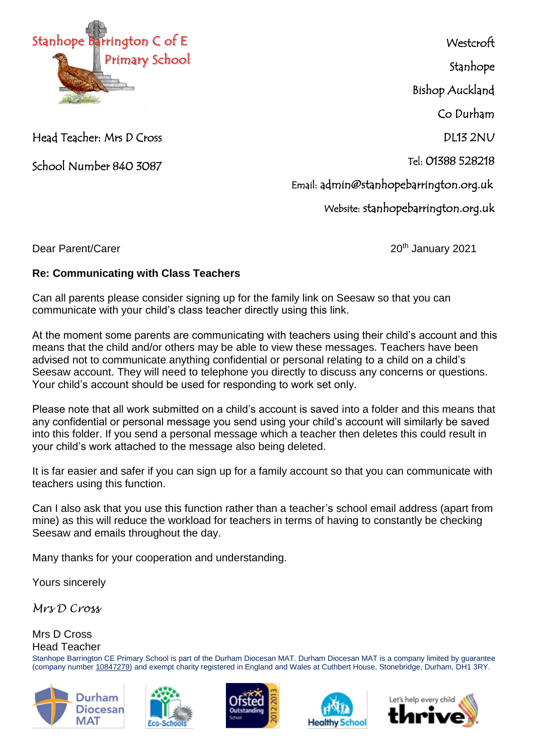

Head Teacher: Mrs D Cross

School Number 840 3087

**Westcroft** 

Stanhope

Bishop Auckland

Co Durham

DL13 2NU

Tel: 01388 528218

Email: admin@stanhopebarrington.org.uk

Website: stanhopebarrington.org.uk

Dear Parent/Carer 2021 and 20th January 2021

## **Re: Communicating with Class Teachers**

Can all parents please consider signing up for the family link on Seesaw so that you can communicate with your child's class teacher directly using this link.

At the moment some parents are communicating with teachers using their child's account and this means that the child and/or others may be able to view these messages. Teachers have been advised not to communicate anything confidential or personal relating to a child on a child's Seesaw account. They will need to telephone you directly to discuss any concerns or questions. Your child's account should be used for responding to work set only.

Please note that all work submitted on a child's account is saved into a folder and this means that any confidential or personal message you send using your child's account will similarly be saved into this folder. If you send a personal message which a teacher then deletes this could result in your child's work attached to the message also being deleted.

It is far easier and safer if you can sign up for a family account so that you can communicate with teachers using this function.

Can I also ask that you use this function rather than a teacher's school email address (apart from mine) as this will reduce the workload for teachers in terms of having to constantly be checking Seesaw and emails throughout the day.

Many thanks for your cooperation and understanding.

Yours sincerely

*Mrs D Cross*

## Mrs D Cross Head Teacher

Stanhope Barrington CE Primary School is part of the Durham Diocesan MAT. Durham Diocesan MAT is a company limited by guarantee (company number [10847279\)](tel:10847279) and exempt charity registered in England and Wales at Cuthbert House, Stonebridge, Durham, DH1 3RY.